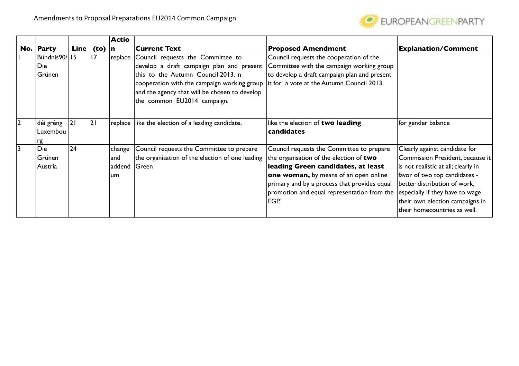

|   |                               |      |      | <b>Actio</b>                    |                                                                                                                                                                                                                                                      |                                                                                                                                                                                                                                                                             |                                                                                                                                                                                                                                                                                 |
|---|-------------------------------|------|------|---------------------------------|------------------------------------------------------------------------------------------------------------------------------------------------------------------------------------------------------------------------------------------------------|-----------------------------------------------------------------------------------------------------------------------------------------------------------------------------------------------------------------------------------------------------------------------------|---------------------------------------------------------------------------------------------------------------------------------------------------------------------------------------------------------------------------------------------------------------------------------|
|   | No. Party                     | Line | (to) | n                               | <b>Current Text</b>                                                                                                                                                                                                                                  | <b>Proposed Amendment</b>                                                                                                                                                                                                                                                   | <b>Explanation/Comment</b>                                                                                                                                                                                                                                                      |
|   | Bündnis90/15<br>Die<br>Grünen |      | 17   | replace                         | Council requests the Committee to<br>develop a draft campaign plan and present<br>this to the Autumn Council 2013, in<br>cooperation with the campaign working group<br>and the agency that will be chosen to develop<br>the common EU2014 campaign. | Council requests the cooperation of the<br>Committee with the campaign working group<br>to develop a draft campaign plan and present<br>it for a vote at the Autumn Council 2013.                                                                                           |                                                                                                                                                                                                                                                                                 |
| 2 | déi gréng<br>Luxembou<br>rg   | 21   | 2    |                                 | replace like the election of a leading candidate,                                                                                                                                                                                                    | like the election of two leading<br>candidates                                                                                                                                                                                                                              | for gender balance                                                                                                                                                                                                                                                              |
| 3 | Die<br>Grünen<br>Austria      | 24   |      | change<br>land<br>addend<br>lum | Council requests the Committee to prepare<br>the organisation of the election of one leading<br>Green                                                                                                                                                | Council requests the Committee to prepare<br>the organisation of the election of two<br>leading Green candidates, at least<br>one woman, by means of an open online<br>primary and by a process that provides equal<br>promotion and equal representation from the<br>EGP." | Clearly against candidate for<br>Commission President, because it<br>is not realistic at all; clearly in<br>favor of two top candidates -<br>better distribution of work,<br>especially if they have to wage<br>their own election campaigns in<br>their homecountries as well. |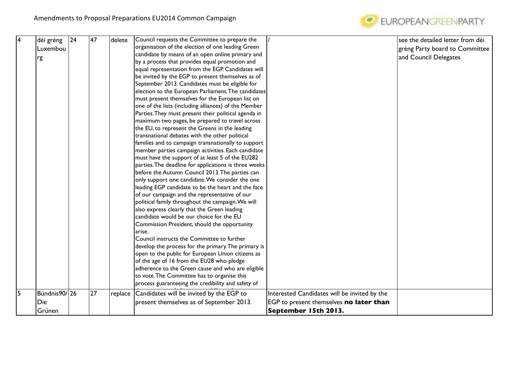

| 4   | déi gréng    | $ 24\rangle$ | 47 | delete  | Council requests the Committee to prepare the         |                                              | see the detailed letter from déi |
|-----|--------------|--------------|----|---------|-------------------------------------------------------|----------------------------------------------|----------------------------------|
|     | Luxembou     |              |    |         | organisation of the election of one leading Green     |                                              | gréng Party board to Committee   |
|     | rg           |              |    |         | candidate by means of an open online primary and      |                                              | and Council Delegates            |
|     |              |              |    |         | by a process that provides equal promotion and        |                                              |                                  |
|     |              |              |    |         | equal representation from the EGP. Candidates will    |                                              |                                  |
|     |              |              |    |         | be invited by the EGP to present themselves as of     |                                              |                                  |
|     |              |              |    |         | September 2013. Candidates must be eligible for       |                                              |                                  |
|     |              |              |    |         | election to the European Parliament. The candidates   |                                              |                                  |
|     |              |              |    |         | must present themselves for the European list on      |                                              |                                  |
|     |              |              |    |         | one of the lists (including alliances) of the Member  |                                              |                                  |
|     |              |              |    |         | Parties. They must present their political agenda in  |                                              |                                  |
|     |              |              |    |         | maximum two pages, be prepared to travel across       |                                              |                                  |
|     |              |              |    |         | the EU, to represent the Greens in the leading        |                                              |                                  |
|     |              |              |    |         | transnational debates with the other political        |                                              |                                  |
|     |              |              |    |         | families and to campaign transnationally to support   |                                              |                                  |
|     |              |              |    |         | member parties campaign activities. Each candidate    |                                              |                                  |
|     |              |              |    |         | must have the support of at least 5 of the EU282      |                                              |                                  |
|     |              |              |    |         | parties. The deadline for applications is three weeks |                                              |                                  |
|     |              |              |    |         | before the Autumn Council 2013. The parties can       |                                              |                                  |
|     |              |              |    |         | only support one candidate. We consider the one       |                                              |                                  |
|     |              |              |    |         | leading EGP candidate to be the heart and the face    |                                              |                                  |
|     |              |              |    |         | of our campaign and the representative of our         |                                              |                                  |
|     |              |              |    |         | political family throughout the campaign. We will     |                                              |                                  |
|     |              |              |    |         | also express clearly that the Green leading           |                                              |                                  |
|     |              |              |    |         | candidate would be our choice for the EU              |                                              |                                  |
|     |              |              |    |         | Commission President, should the opportunity          |                                              |                                  |
|     |              |              |    |         | arise.                                                |                                              |                                  |
|     |              |              |    |         | Council instructs the Committee to further            |                                              |                                  |
|     |              |              |    |         | develop the process for the primary. The primary is   |                                              |                                  |
|     |              |              |    |         | open to the public for European Union citizens as     |                                              |                                  |
|     |              |              |    |         | of the age of 16 from the EU28 who pledge             |                                              |                                  |
|     |              |              |    |         | adherence to the Green cause and who are eligible     |                                              |                                  |
|     |              |              |    |         | to vote. The Committee has to organise this           |                                              |                                  |
|     |              |              |    |         | process guaranteeing the credibility and safety of    |                                              |                                  |
| l5. | Bündnis90/26 |              | 27 | replace | Candidates will be invited by the EGP to              | Interested Candidates will be invited by the |                                  |
|     | Die          |              |    |         | present themselves as of September 2013.              | EGP to present themselves no later than      |                                  |
|     | Grünen       |              |    |         |                                                       | September 15th 2013.                         |                                  |
|     |              |              |    |         |                                                       |                                              |                                  |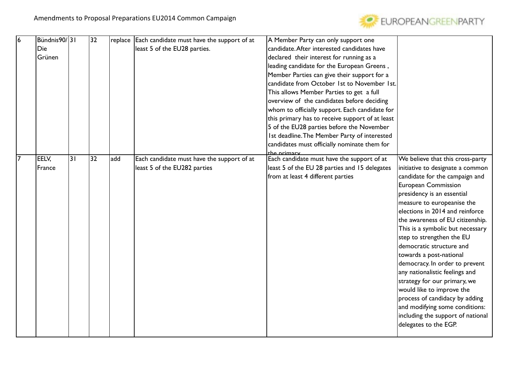

| 16             | Bündnis90/31 |    | 32 |     | replace Each candidate must have the support of at | A Member Party can only support one             |                                   |
|----------------|--------------|----|----|-----|----------------------------------------------------|-------------------------------------------------|-----------------------------------|
|                | Die          |    |    |     | least 5 of the EU28 parties.                       | candidate. After interested candidates have     |                                   |
|                | Grünen       |    |    |     |                                                    | declared their interest for running as a        |                                   |
|                |              |    |    |     |                                                    | leading candidate for the European Greens,      |                                   |
|                |              |    |    |     |                                                    | Member Parties can give their support for a     |                                   |
|                |              |    |    |     |                                                    | candidate from October 1st to November 1st.     |                                   |
|                |              |    |    |     |                                                    | This allows Member Parties to get a full        |                                   |
|                |              |    |    |     |                                                    | overview of the candidates before deciding      |                                   |
|                |              |    |    |     |                                                    | whom to officially support. Each candidate for  |                                   |
|                |              |    |    |     |                                                    | this primary has to receive support of at least |                                   |
|                |              |    |    |     |                                                    | 5 of the EU28 parties before the November       |                                   |
|                |              |    |    |     |                                                    | Ist deadline. The Member Party of interested    |                                   |
|                |              |    |    |     |                                                    | candidates must officially nominate them for    |                                   |
|                |              |    |    |     |                                                    | the primary                                     |                                   |
| $\overline{7}$ | EELV,        | 31 | 32 | add | Each candidate must have the support of at         | Each candidate must have the support of at      | We believe that this cross-party  |
|                | France       |    |    |     | least 5 of the EU282 parties                       | least 5 of the EU 28 parties and 15 delegates   | initiative to designate a common  |
|                |              |    |    |     |                                                    | from at least 4 different parties               | candidate for the campaign and    |
|                |              |    |    |     |                                                    |                                                 | <b>European Commission</b>        |
|                |              |    |    |     |                                                    |                                                 | presidency is an essential        |
|                |              |    |    |     |                                                    |                                                 | measure to europeanise the        |
|                |              |    |    |     |                                                    |                                                 | elections in 2014 and reinforce   |
|                |              |    |    |     |                                                    |                                                 | the awareness of EU citizenship.  |
|                |              |    |    |     |                                                    |                                                 | This is a symbolic but necessary  |
|                |              |    |    |     |                                                    |                                                 | step to strengthen the EU         |
|                |              |    |    |     |                                                    |                                                 | democratic structure and          |
|                |              |    |    |     |                                                    |                                                 | towards a post-national           |
|                |              |    |    |     |                                                    |                                                 | democracy. In order to prevent    |
|                |              |    |    |     |                                                    |                                                 | any nationalistic feelings and    |
|                |              |    |    |     |                                                    |                                                 | strategy for our primary, we      |
|                |              |    |    |     |                                                    |                                                 | would like to improve the         |
|                |              |    |    |     |                                                    |                                                 | process of candidacy by adding    |
|                |              |    |    |     |                                                    |                                                 | and modifying some conditions:    |
|                |              |    |    |     |                                                    |                                                 | including the support of national |
|                |              |    |    |     |                                                    |                                                 | delegates to the EGP.             |
|                |              |    |    |     |                                                    |                                                 |                                   |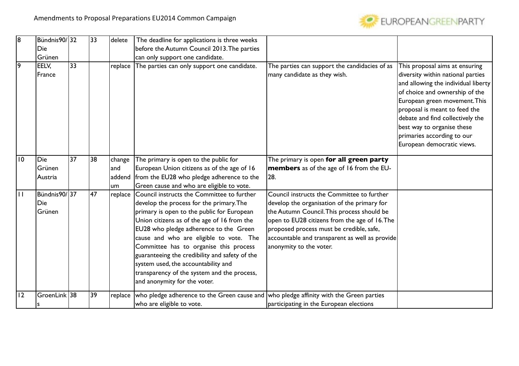

| 18           | Bündnis90/32                   |                 | 33 | delete  | The deadline for applications is three weeks                                                                                                                                                                                                                                                                                                                                                                                                                                               |                                                                                                                                                                                                                                                                                                                   |                                                                                                                                                                                                                                                                                                                                              |
|--------------|--------------------------------|-----------------|----|---------|--------------------------------------------------------------------------------------------------------------------------------------------------------------------------------------------------------------------------------------------------------------------------------------------------------------------------------------------------------------------------------------------------------------------------------------------------------------------------------------------|-------------------------------------------------------------------------------------------------------------------------------------------------------------------------------------------------------------------------------------------------------------------------------------------------------------------|----------------------------------------------------------------------------------------------------------------------------------------------------------------------------------------------------------------------------------------------------------------------------------------------------------------------------------------------|
|              | Die                            |                 |    |         | before the Autumn Council 2013. The parties                                                                                                                                                                                                                                                                                                                                                                                                                                                |                                                                                                                                                                                                                                                                                                                   |                                                                                                                                                                                                                                                                                                                                              |
|              | Grünen                         |                 |    |         | can only support one candidate.                                                                                                                                                                                                                                                                                                                                                                                                                                                            |                                                                                                                                                                                                                                                                                                                   |                                                                                                                                                                                                                                                                                                                                              |
| 9            | EELV,<br>France                | $\overline{33}$ |    | replace | The parties can only support one candidate.                                                                                                                                                                                                                                                                                                                                                                                                                                                | The parties can support the candidacies of as<br>many candidate as they wish.                                                                                                                                                                                                                                     | This proposal aims at ensuring<br>diversity within national parties<br>and allowing the individual liberty<br>of choice and ownership of the<br>European green movement. This<br>proposal is meant to feed the<br>debate and find collectively the<br>best way to organise these<br>primaries according to our<br>European democratic views. |
| 10           | Die                            | $\overline{37}$ | 38 | change  | The primary is open to the public for                                                                                                                                                                                                                                                                                                                                                                                                                                                      | The primary is open for all green party                                                                                                                                                                                                                                                                           |                                                                                                                                                                                                                                                                                                                                              |
|              | Grünen                         |                 |    | land    | European Union citizens as of the age of 16                                                                                                                                                                                                                                                                                                                                                                                                                                                | <b>members</b> as of the age of 16 from the EU-                                                                                                                                                                                                                                                                   |                                                                                                                                                                                                                                                                                                                                              |
|              | Austria                        |                 |    | addend  | from the EU28 who pledge adherence to the                                                                                                                                                                                                                                                                                                                                                                                                                                                  | 28.                                                                                                                                                                                                                                                                                                               |                                                                                                                                                                                                                                                                                                                                              |
|              |                                |                 |    | um      | Green cause and who are eligible to vote.                                                                                                                                                                                                                                                                                                                                                                                                                                                  |                                                                                                                                                                                                                                                                                                                   |                                                                                                                                                                                                                                                                                                                                              |
| $\mathbf{H}$ | Bündnis90/137<br>Die<br>Grünen |                 | 47 | replace | Council instructs the Committee to further<br>develop the process for the primary. The<br>primary is open to the public for European<br>Union citizens as of the age of 16 from the<br>EU28 who pledge adherence to the Green<br>cause and who are eligible to vote. The<br>Committee has to organise this process<br>guaranteeing the credibility and safety of the<br>system used, the accountability and<br>transparency of the system and the process,<br>and anonymity for the voter. | Council instructs the Committee to further<br>develop the organisation of the primary for<br>the Autumn Council. This process should be<br>open to EU28 citizens from the age of 16. The<br>proposed process must be credible, safe,<br>accountable and transparent as well as provide<br>anonymity to the voter. |                                                                                                                                                                                                                                                                                                                                              |
| 12           | GroenLink 38                   |                 | 39 | replace | who pledge adherence to the Green cause and who pledge affinity with the Green parties<br>who are eligible to vote.                                                                                                                                                                                                                                                                                                                                                                        | participating in the European elections                                                                                                                                                                                                                                                                           |                                                                                                                                                                                                                                                                                                                                              |